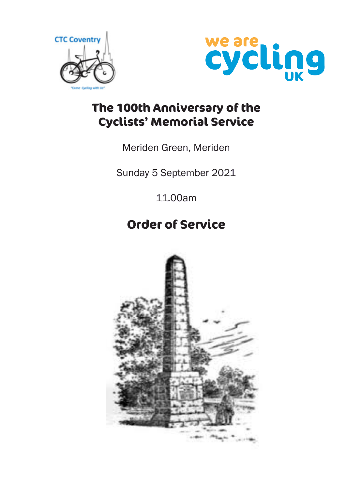



# **The 100th Anniversary of the Cyclists' Memorial Service**

# Meriden Green, Meriden

Sunday 5 September 2021

11.00am

# **Order of Service**

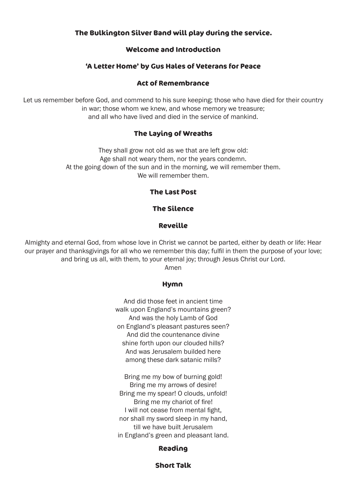### **The Bulkington Silver Band will play during the service.**

#### **Welcome and Introduction**

#### **'A Letter Home' by Gus Hales of Veterans for Peace**

#### **Act of Remembrance**

Let us remember before God, and commend to his sure keeping; those who have died for their country in war; those whom we knew, and whose memory we treasure; and all who have lived and died in the service of mankind.

#### **The Laying of Wreaths**

They shall grow not old as we that are left grow old: Age shall not weary them, nor the years condemn. At the going down of the sun and in the morning, we will remember them. We will remember them.

#### **The Last Post**

### **The Silence**

#### **Reveille**

Almighty and eternal God, from whose love in Christ we cannot be parted, either by death or life: Hear our prayer and thanksgivings for all who we remember this day; fulfil in them the purpose of your love; and bring us all, with them, to your eternal joy; through Jesus Christ our Lord.

Amen

#### **Hymn**

And did those feet in ancient time walk upon England's mountains green? And was the holy Lamb of God on England's pleasant pastures seen? And did the countenance divine shine forth upon our clouded hills? And was Jerusalem builded here among these dark satanic mills?

Bring me my bow of burning gold! Bring me my arrows of desire! Bring me my spear! O clouds, unfold! Bring me my chariot of fire! I will not cease from mental fight, nor shall my sword sleep in my hand, till we have built Jerusalem in England's green and pleasant land.

#### **Reading**

#### **Short Talk**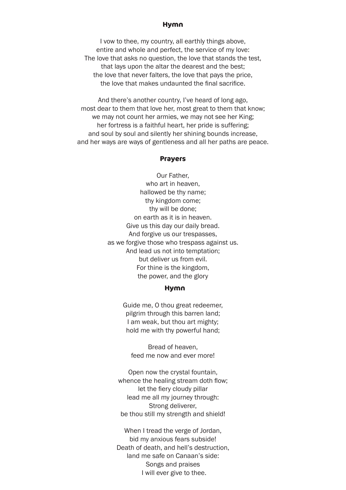#### **Hymn**

I vow to thee, my country, all earthly things above, entire and whole and perfect, the service of my love: The love that asks no question, the love that stands the test, that lays upon the altar the dearest and the best; the love that never falters, the love that pays the price, the love that makes undaunted the final sacrifice.

And there's another country, I've heard of long ago, most dear to them that love her, most great to them that know; we may not count her armies, we may not see her King; her fortress is a faithful heart, her pride is suffering; and soul by soul and silently her shining bounds increase, and her ways are ways of gentleness and all her paths are peace.

#### **Prayers**

Our Father, who art in heaven, hallowed be thy name; thy kingdom come; thy will be done; on earth as it is in heaven. Give us this day our daily bread. And forgive us our trespasses, as we forgive those who trespass against us. And lead us not into temptation; but deliver us from evil. For thine is the kingdom, the power, and the glory

#### **Hymn**

Guide me, O thou great redeemer, pilgrim through this barren land; I am weak, but thou art mighty; hold me with thy powerful hand;

Bread of heaven, feed me now and ever more!

Open now the crystal fountain, whence the healing stream doth flow: let the fiery cloudy pillar lead me all my journey through: Strong deliverer, be thou still my strength and shield!

When I tread the verge of Jordan, bid my anxious fears subside! Death of death, and hell's destruction, land me safe on Canaan's side: Songs and praises I will ever give to thee.